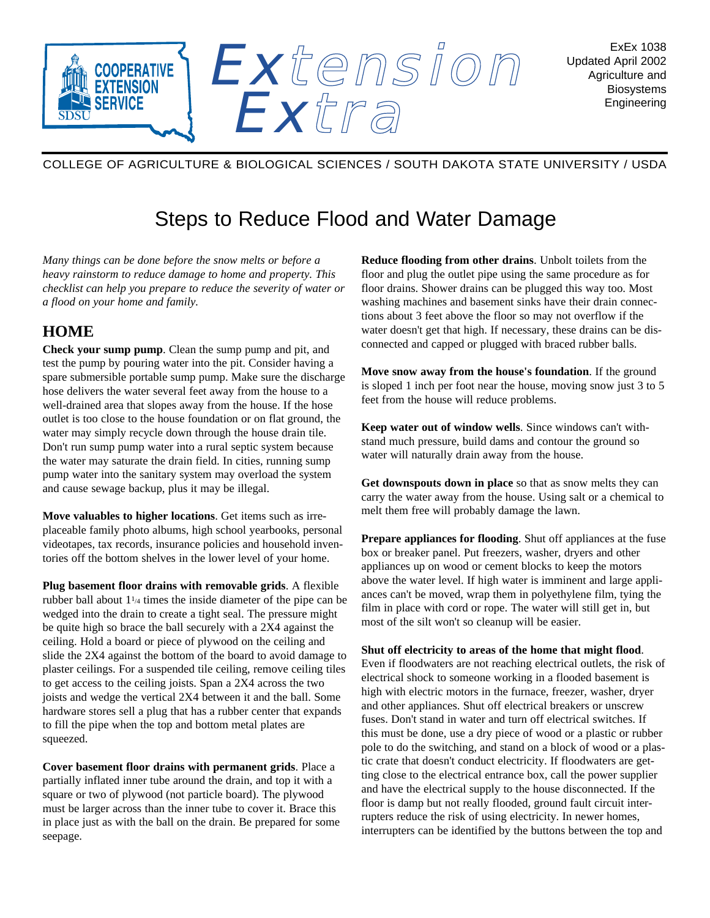

## COLLEGE OF AGRICULTURE & BIOLOGICAL SCIENCES / SOUTH DAKOTA STATE UNIVERSITY / USDA

## Steps to Reduce Flood and Water Damage

*Many things can be done before the snow melts or before a heavy rainstorm to reduce damage to home and property. This checklist can help you prepare to reduce the severity of water or a flood on your home and family.*

## **HOME**

**Check your sump pump**. Clean the sump pump and pit, and test the pump by pouring water into the pit. Consider having a spare submersible portable sump pump. Make sure the discharge hose delivers the water several feet away from the house to a well-drained area that slopes away from the house. If the hose outlet is too close to the house foundation or on flat ground, the water may simply recycle down through the house drain tile. Don't run sump pump water into a rural septic system because the water may saturate the drain field. In cities, running sump pump water into the sanitary system may overload the system and cause sewage backup, plus it may be illegal.

**Move valuables to higher locations**. Get items such as irreplaceable family photo albums, high school yearbooks, personal videotapes, tax records, insurance policies and household inventories off the bottom shelves in the lower level of your home.

**Plug basement floor drains with removable grids**. A flexible rubber ball about  $1\frac{1}{4}$  times the inside diameter of the pipe can be wedged into the drain to create a tight seal. The pressure might be quite high so brace the ball securely with a 2X4 against the ceiling. Hold a board or piece of plywood on the ceiling and slide the 2X4 against the bottom of the board to avoid damage to plaster ceilings. For a suspended tile ceiling, remove ceiling tiles to get access to the ceiling joists. Span a 2X4 across the two joists and wedge the vertical 2X4 between it and the ball. Some hardware stores sell a plug that has a rubber center that expands to fill the pipe when the top and bottom metal plates are squeezed.

**Cover basement floor drains with permanent grids**. Place a partially inflated inner tube around the drain, and top it with a square or two of plywood (not particle board). The plywood must be larger across than the inner tube to cover it. Brace this in place just as with the ball on the drain. Be prepared for some seepage.

**Reduce flooding from other drains**. Unbolt toilets from the floor and plug the outlet pipe using the same procedure as for floor drains. Shower drains can be plugged this way too. Most washing machines and basement sinks have their drain connections about 3 feet above the floor so may not overflow if the water doesn't get that high. If necessary, these drains can be disconnected and capped or plugged with braced rubber balls.

**Move snow away from the house's foundation**. If the ground is sloped 1 inch per foot near the house, moving snow just 3 to 5 feet from the house will reduce problems.

**Keep water out of window wells**. Since windows can't withstand much pressure, build dams and contour the ground so water will naturally drain away from the house.

**Get downspouts down in place** so that as snow melts they can carry the water away from the house. Using salt or a chemical to melt them free will probably damage the lawn.

**Prepare appliances for flooding**. Shut off appliances at the fuse box or breaker panel. Put freezers, washer, dryers and other appliances up on wood or cement blocks to keep the motors above the water level. If high water is imminent and large appliances can't be moved, wrap them in polyethylene film, tying the film in place with cord or rope. The water will still get in, but most of the silt won't so cleanup will be easier.

**Shut off electricity to areas of the home that might flood**. Even if floodwaters are not reaching electrical outlets, the risk of electrical shock to someone working in a flooded basement is high with electric motors in the furnace, freezer, washer, dryer and other appliances. Shut off electrical breakers or unscrew fuses. Don't stand in water and turn off electrical switches. If this must be done, use a dry piece of wood or a plastic or rubber pole to do the switching, and stand on a block of wood or a plastic crate that doesn't conduct electricity. If floodwaters are getting close to the electrical entrance box, call the power supplier and have the electrical supply to the house disconnected. If the floor is damp but not really flooded, ground fault circuit interrupters reduce the risk of using electricity. In newer homes, interrupters can be identified by the buttons between the top and